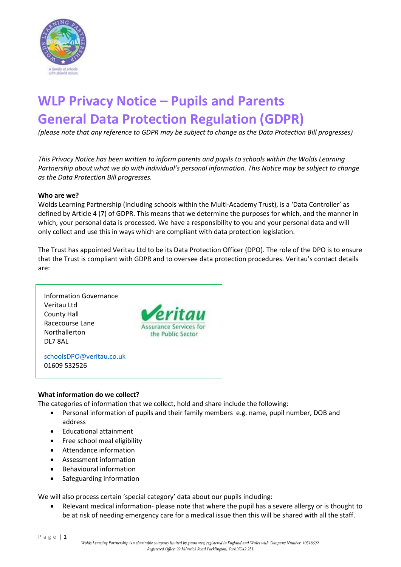

# **WLP Privacy Notice – Pupils and Parents General Data Protection Regulation (GDPR)**

*(please note that any reference to GDPR may be subject to change as the Data Protection Bill progresses)*

*This Privacy Notice has been written to inform parents and pupils to schools within the Wolds Learning Partnership about what we do with individual's personal information. This Notice may be subject to change as the Data Protection Bill progresses.*

#### **Who are we?**

Wolds Learning Partnership (including schools within the Multi-Academy Trust), is a 'Data Controller' as defined by Article 4 (7) of GDPR. This means that we determine the purposes for which, and the manner in which, your personal data is processed. We have a responsibility to you and your personal data and will only collect and use this in ways which are compliant with data protection legislation.

The Trust has appointed Veritau Ltd to be its Data Protection Officer (DPO). The role of the DPO is to ensure that the Trust is compliant with GDPR and to oversee data protection procedures. Veritau's contact details are:



#### **What information do we collect?**

The categories of information that we collect, hold and share include the following:

- Personal information of pupils and their family members e.g. name, pupil number, DOB and address
- Educational attainment
- Free school meal eligibility
- Attendance information
- Assessment information
- Behavioural information
- Safeguarding information

We will also process certain 'special category' data about our pupils including:

 Relevant medical information- please note that where the pupil has a severe allergy or is thought to be at risk of needing emergency care for a medical issue then this will be shared with all the staff.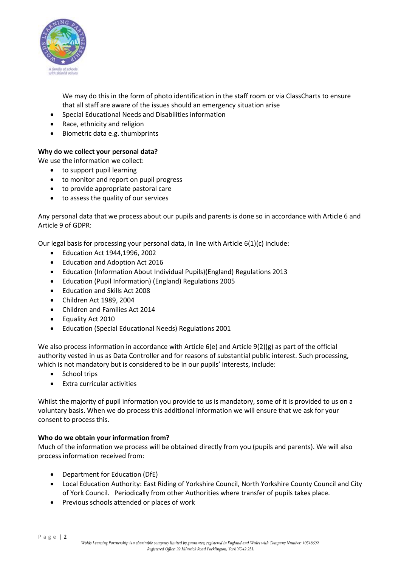

We may do this in the form of photo identification in the staff room or via ClassCharts to ensure that all staff are aware of the issues should an emergency situation arise

- Special Educational Needs and Disabilities information
- Race, ethnicity and religion
- Biometric data e.g. thumbprints

### **Why do we collect your personal data?**

We use the information we collect:

- to support pupil learning
- to monitor and report on pupil progress
- to provide appropriate pastoral care
- to assess the quality of our services

Any personal data that we process about our pupils and parents is done so in accordance with Article 6 and Article 9 of GDPR:

Our legal basis for processing your personal data, in line with Article  $6(1)(c)$  include:

- Education Act 1944,1996, 2002
- Education and Adoption Act 2016
- Education (Information About Individual Pupils)(England) Regulations 2013
- Education (Pupil Information) (England) Regulations 2005
- Education and Skills Act 2008
- Children Act 1989, 2004
- Children and Families Act 2014
- Equality Act 2010
- Education (Special Educational Needs) Regulations 2001

We also process information in accordance with Article 6(e) and Article 9(2)(g) as part of the official authority vested in us as Data Controller and for reasons of substantial public interest. Such processing, which is not mandatory but is considered to be in our pupils' interests, include:

- School trips
- Extra curricular activities

Whilst the majority of pupil information you provide to us is mandatory, some of it is provided to us on a voluntary basis. When we do process this additional information we will ensure that we ask for your consent to process this.

#### **Who do we obtain your information from?**

Much of the information we process will be obtained directly from you (pupils and parents). We will also process information received from:

- Department for Education (DfE)
- Local Education Authority: East Riding of Yorkshire Council, North Yorkshire County Council and City of York Council. Periodically from other Authorities where transfer of pupils takes place.
- Previous schools attended or places of work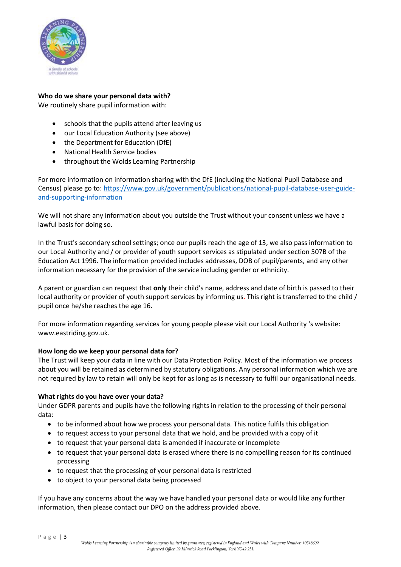

## **Who do we share your personal data with?**

We routinely share pupil information with:

- schools that the pupils attend after leaving us
- our Local Education Authority (see above)
- the Department for Education (DfE)
- National Health Service bodies
- throughout the Wolds Learning Partnership

For more information on information sharing with the DfE (including the National Pupil Database and Census) please go to[: https://www.gov.uk/government/publications/national-pupil-database-user-guide](https://www.gov.uk/government/publications/national-pupil-database-user-guide-and-supporting-information)[and-supporting-information](https://www.gov.uk/government/publications/national-pupil-database-user-guide-and-supporting-information)

We will not share any information about you outside the Trust without your consent unless we have a lawful basis for doing so.

In the Trust's secondary school settings; once our pupils reach the age of 13, we also pass information to our Local Authority and / or provider of youth support services as stipulated under section 507B of the Education Act 1996. The information provided includes addresses, DOB of pupil/parents, and any other information necessary for the provision of the service including gender or ethnicity.

A parent or guardian can request that **only** their child's name, address and date of birth is passed to their local authority or provider of youth support services by informing us. This right is transferred to the child / pupil once he/she reaches the age 16.

For more information regarding services for young people please visit our Local Authority 's website: www.eastriding.gov.uk.

#### **How long do we keep your personal data for?**

The Trust will keep your data in line with our Data Protection Policy. Most of the information we process about you will be retained as determined by statutory obligations. Any personal information which we are not required by law to retain will only be kept for as long as is necessary to fulfil our organisational needs.

#### **What rights do you have over your data?**

Under GDPR parents and pupils have the following rights in relation to the processing of their personal data:

- to be informed about how we process your personal data. This notice fulfils this obligation
- to request access to your personal data that we hold, and be provided with a copy of it
- to request that your personal data is amended if inaccurate or incomplete
- to request that your personal data is erased where there is no compelling reason for its continued processing
- to request that the processing of your personal data is restricted
- to object to your personal data being processed

If you have any concerns about the way we have handled your personal data or would like any further information, then please contact our DPO on the address provided above.